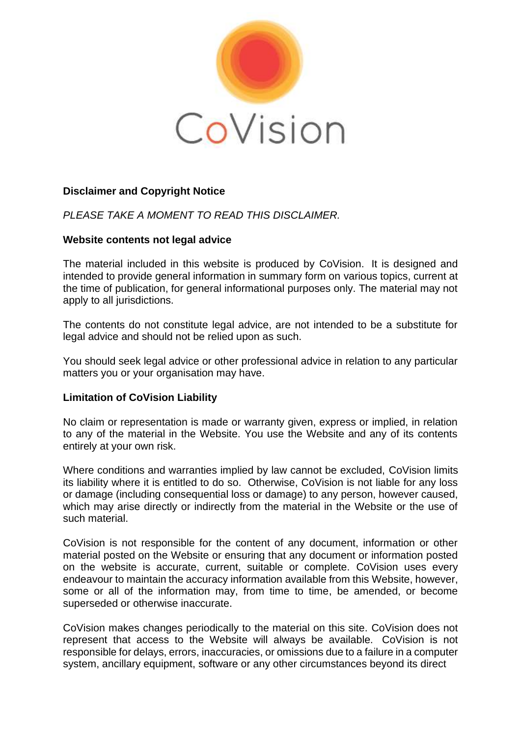

# **Disclaimer and Copyright Notice**

*PLEASE TAKE A MOMENT TO READ THIS DISCLAIMER.*

## **Website contents not legal advice**

The material included in this website is produced by CoVision. It is designed and intended to provide general information in summary form on various topics, current at the time of publication, for general informational purposes only. The material may not apply to all jurisdictions.

The contents do not constitute legal advice, are not intended to be a substitute for legal advice and should not be relied upon as such.

You should seek legal advice or other professional advice in relation to any particular matters you or your organisation may have.

## **Limitation of CoVision Liability**

No claim or representation is made or warranty given, express or implied, in relation to any of the material in the Website. You use the Website and any of its contents entirely at your own risk.

Where conditions and warranties implied by law cannot be excluded, CoVision limits its liability where it is entitled to do so. Otherwise, CoVision is not liable for any loss or damage (including consequential loss or damage) to any person, however caused, which may arise directly or indirectly from the material in the Website or the use of such material.

CoVision is not responsible for the content of any document, information or other material posted on the Website or ensuring that any document or information posted on the website is accurate, current, suitable or complete. CoVision uses every endeavour to maintain the accuracy information available from this Website, however, some or all of the information may, from time to time, be amended, or become superseded or otherwise inaccurate.

CoVision makes changes periodically to the material on this site. CoVision does not represent that access to the Website will always be available. CoVision is not responsible for delays, errors, inaccuracies, or omissions due to a failure in a computer system, ancillary equipment, software or any other circumstances beyond its direct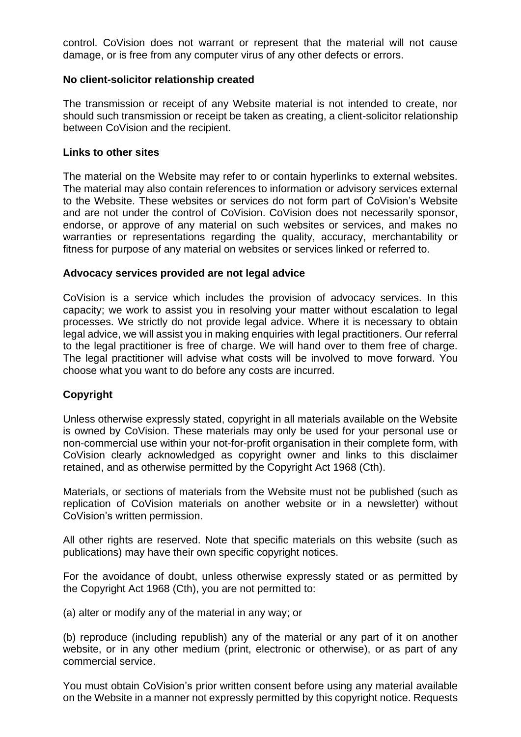control. CoVision does not warrant or represent that the material will not cause damage, or is free from any computer virus of any other defects or errors.

#### **No client-solicitor relationship created**

The transmission or receipt of any Website material is not intended to create, nor should such transmission or receipt be taken as creating, a client-solicitor relationship between CoVision and the recipient.

#### **Links to other sites**

The material on the Website may refer to or contain hyperlinks to external websites. The material may also contain references to information or advisory services external to the Website. These websites or services do not form part of CoVision's Website and are not under the control of CoVision. CoVision does not necessarily sponsor, endorse, or approve of any material on such websites or services, and makes no warranties or representations regarding the quality, accuracy, merchantability or fitness for purpose of any material on websites or services linked or referred to.

#### **Advocacy services provided are not legal advice**

CoVision is a service which includes the provision of advocacy services. In this capacity; we work to assist you in resolving your matter without escalation to legal processes. We strictly do not provide legal advice. Where it is necessary to obtain legal advice, we will assist you in making enquiries with legal practitioners. Our referral to the legal practitioner is free of charge. We will hand over to them free of charge. The legal practitioner will advise what costs will be involved to move forward. You choose what you want to do before any costs are incurred.

## **Copyright**

Unless otherwise expressly stated, copyright in all materials available on the Website is owned by CoVision. These materials may only be used for your personal use or non-commercial use within your not-for-profit organisation in their complete form, with CoVision clearly acknowledged as copyright owner and links to this disclaimer retained, and as otherwise permitted by the Copyright Act 1968 (Cth).

Materials, or sections of materials from the Website must not be published (such as replication of CoVision materials on another website or in a newsletter) without CoVision's written permission.

All other rights are reserved. Note that specific materials on this website (such as publications) may have their own specific copyright notices.

For the avoidance of doubt, unless otherwise expressly stated or as permitted by the Copyright Act 1968 (Cth), you are not permitted to:

(a) alter or modify any of the material in any way; or

(b) reproduce (including republish) any of the material or any part of it on another website, or in any other medium (print, electronic or otherwise), or as part of any commercial service.

You must obtain CoVision's prior written consent before using any material available on the Website in a manner not expressly permitted by this copyright notice. Requests